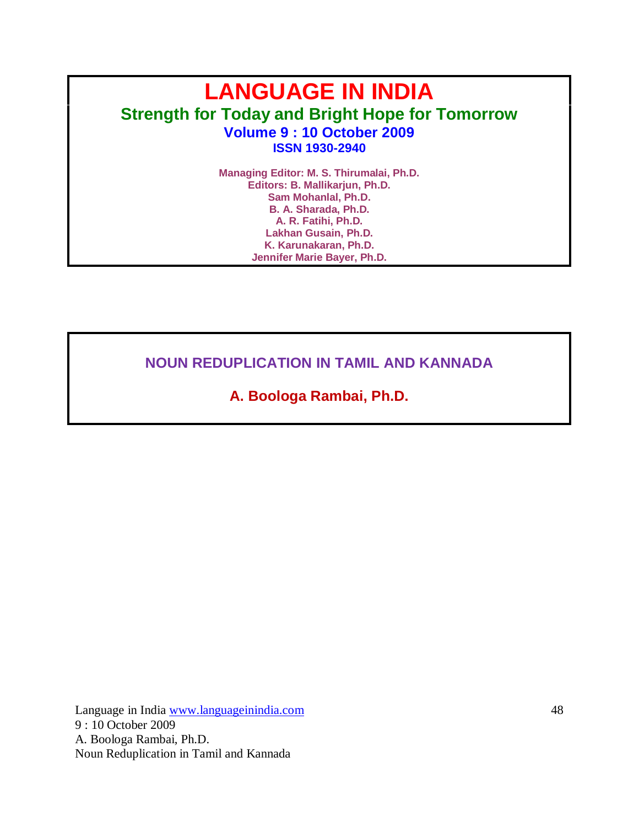# **LANGUAGE IN INDIA Strength for Today and Bright Hope for Tomorrow Volume 9 : 10 October 2009 ISSN 1930-2940**

**Managing Editor: M. S. Thirumalai, Ph.D. Editors: B. Mallikarjun, Ph.D. Sam Mohanlal, Ph.D. B. A. Sharada, Ph.D. A. R. Fatihi, Ph.D. Lakhan Gusain, Ph.D. K. Karunakaran, Ph.D. Jennifer Marie Bayer, Ph.D.**

**NOUN REDUPLICATION IN TAMIL AND KANNADA**

**A. Boologa Rambai, Ph.D.**

Language in India www.languageinindia.com 48 9 : 10 October 2009 A. Boologa Rambai, Ph.D. Noun Reduplication in Tamil and Kannada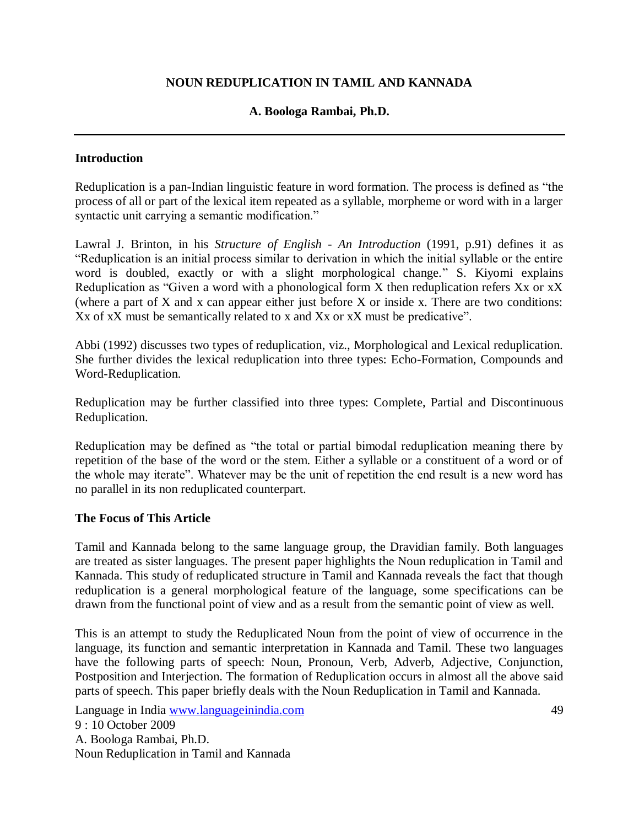# **NOUN REDUPLICATION IN TAMIL AND KANNADA**

# **A. Boologa Rambai, Ph.D.**

## **Introduction**

Reduplication is a pan-Indian linguistic feature in word formation. The process is defined as "the process of all or part of the lexical item repeated as a syllable, morpheme or word with in a larger syntactic unit carrying a semantic modification."

Lawral J. Brinton, in his *Structure of English - An Introduction* (1991, p.91) defines it as "Reduplication is an initial process similar to derivation in which the initial syllable or the entire word is doubled, exactly or with a slight morphological change." S. Kiyomi explains Reduplication as "Given a word with a phonological form X then reduplication refers Xx or xX (where a part of X and x can appear either just before X or inside x. There are two conditions: X<sub>x</sub> of x<sub>X</sub> must be semantically related to x and X<sub>x</sub> or x<sub>X</sub> must be predicative".

Abbi (1992) discusses two types of reduplication, viz., Morphological and Lexical reduplication. She further divides the lexical reduplication into three types: Echo-Formation, Compounds and Word-Reduplication.

Reduplication may be further classified into three types: Complete, Partial and Discontinuous Reduplication.

Reduplication may be defined as "the total or partial bimodal reduplication meaning there by repetition of the base of the word or the stem. Either a syllable or a constituent of a word or of the whole may iterate". Whatever may be the unit of repetition the end result is a new word has no parallel in its non reduplicated counterpart.

#### **The Focus of This Article**

Tamil and Kannada belong to the same language group, the Dravidian family. Both languages are treated as sister languages. The present paper highlights the Noun reduplication in Tamil and Kannada. This study of reduplicated structure in Tamil and Kannada reveals the fact that though reduplication is a general morphological feature of the language, some specifications can be drawn from the functional point of view and as a result from the semantic point of view as well.

This is an attempt to study the Reduplicated Noun from the point of view of occurrence in the language, its function and semantic interpretation in Kannada and Tamil. These two languages have the following parts of speech: Noun, Pronoun, Verb, Adverb, Adjective, Conjunction, Postposition and Interjection. The formation of Reduplication occurs in almost all the above said parts of speech. This paper briefly deals with the Noun Reduplication in Tamil and Kannada.

Language in India www.languageinindia.com 49 9 : 10 October 2009 A. Boologa Rambai, Ph.D. Noun Reduplication in Tamil and Kannada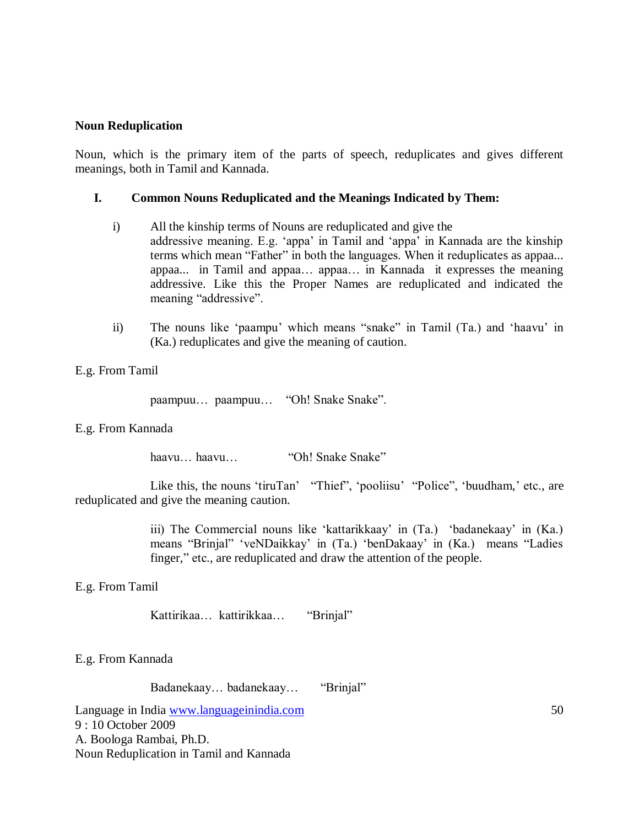#### **Noun Reduplication**

Noun, which is the primary item of the parts of speech, reduplicates and gives different meanings, both in Tamil and Kannada.

## **I. Common Nouns Reduplicated and the Meanings Indicated by Them:**

- i) All the kinship terms of Nouns are reduplicated and give the addressive meaning. E.g. "appa" in Tamil and "appa" in Kannada are the kinship terms which mean "Father" in both the languages. When it reduplicates as appaa... appaa... in Tamil and appaa… appaa… in Kannada it expresses the meaning addressive. Like this the Proper Names are reduplicated and indicated the meaning "addressive".
- ii) The nouns like "paampu" which means "snake" in Tamil (Ta.) and "haavu" in (Ka.) reduplicates and give the meaning of caution.

## E.g. From Tamil

paampuu… paampuu… "Oh! Snake Snake".

#### E.g. From Kannada

haavu… haavu… "Oh! Snake Snake"

Like this, the nouns 'tiruTan' "Thief", 'pooliisu' "Police", 'buudham,' etc., are reduplicated and give the meaning caution.

> iii) The Commercial nouns like "kattarikkaay" in (Ta.) "badanekaay" in (Ka.) means "Brinjal" "veNDaikkay" in (Ta.) "benDakaay" in (Ka.) means "Ladies finger," etc., are reduplicated and draw the attention of the people.

E.g. From Tamil

Kattirikaa… kattirikkaa… "Brinjal"

E.g. From Kannada

Badanekaay… badanekaay… "Brinjal"

Language in India www.languageinindia.com 50 9 : 10 October 2009 A. Boologa Rambai, Ph.D. Noun Reduplication in Tamil and Kannada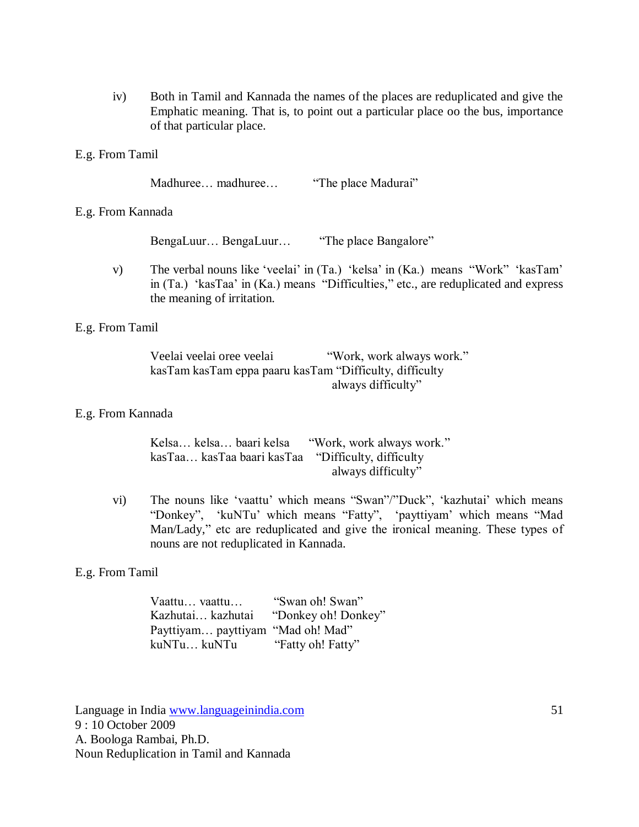iv) Both in Tamil and Kannada the names of the places are reduplicated and give the Emphatic meaning. That is, to point out a particular place oo the bus, importance of that particular place.

#### E.g. From Tamil

Madhuree… madhuree… "The place Madurai"

#### E.g. From Kannada

BengaLuur… BengaLuur… "The place Bangalore"

v) The verbal nouns like "veelai" in (Ta.) "kelsa" in (Ka.) means "Work" "kasTam" in (Ta.) "kasTaa" in (Ka.) means "Difficulties," etc., are reduplicated and express the meaning of irritation.

## E.g. From Tamil

Veelai veelai oree veelai "Work, work always work." kasTam kasTam eppa paaru kasTam "Difficulty, difficulty always difficulty"

#### E.g. From Kannada

| Kelsa kelsa baari kelsa "Work, work always work."  |                    |
|----------------------------------------------------|--------------------|
| kasTaa kasTaa baari kasTaa "Difficulty, difficulty |                    |
|                                                    | always difficulty" |

vi) The nouns like "vaattu" which means "Swan"/"Duck", "kazhutai" which means "Donkey", "kuNTu" which means "Fatty", "payttiyam" which means "Mad Man/Lady," etc are reduplicated and give the ironical meaning. These types of nouns are not reduplicated in Kannada.

## E.g. From Tamil

| Vaattu vaattu                     | "Swan oh! Swan"     |
|-----------------------------------|---------------------|
| Kazhutai kazhutai                 | "Donkey oh! Donkey" |
| Payttiyam payttiyam "Mad oh! Mad" |                     |
| kuNTu kuNTu                       | "Fatty oh! Fatty"   |

Language in India www.languageinindia.com 51 9 : 10 October 2009 A. Boologa Rambai, Ph.D. Noun Reduplication in Tamil and Kannada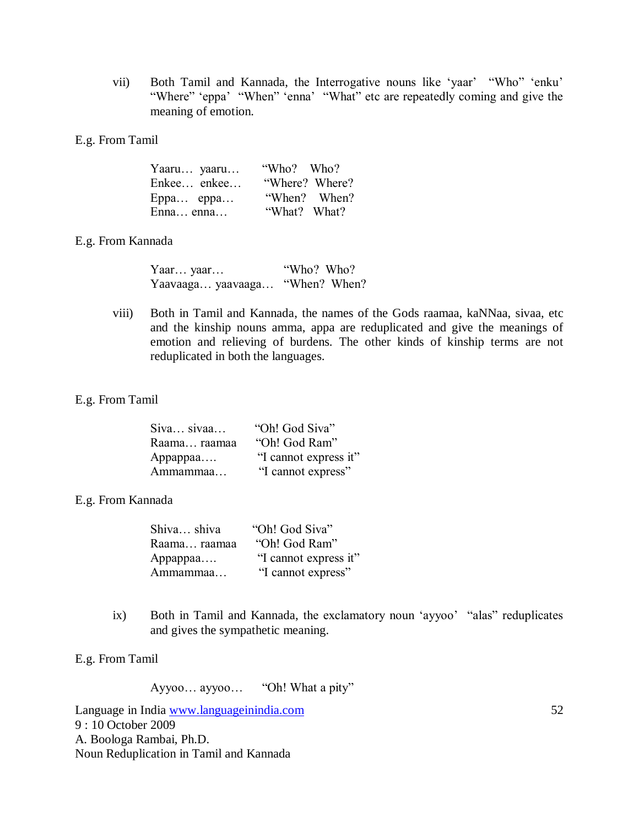- vii) Both Tamil and Kannada, the Interrogative nouns like 'yaar' "Who" 'enku' "Where" 'eppa' "When" 'enna' "What" etc are repeatedly coming and give the meaning of emotion.
- E.g. From Tamil

| Yaaru yaaru | "Who? Who?     |
|-------------|----------------|
| Enkee enkee | "Where? Where? |
| $Eppa$ eppa | "When? When?   |
| Enna enna   | "What? What?   |

# E.g. From Kannada

| Yaar yaar                      | "Who? Who? |
|--------------------------------|------------|
| Yaavaaga yaavaaga "When? When? |            |

viii) Both in Tamil and Kannada, the names of the Gods raamaa, kaNNaa, sivaa, etc and the kinship nouns amma, appa are reduplicated and give the meanings of emotion and relieving of burdens. The other kinds of kinship terms are not reduplicated in both the languages.

## E.g. From Tamil

| Siva sivaa   | "Oh! God Siva"        |
|--------------|-----------------------|
| Raama raamaa | "Oh! God Ram"         |
| Appappaa     | "I cannot express it" |
| Ammammaa     | "I cannot express"    |

## E.g. From Kannada

| Shiva shiva  | "Oh! God Siva"        |
|--------------|-----------------------|
| Raama raamaa | "Oh! God Ram"         |
| Appappaa     | "I cannot express it" |
| Ammammaa     | "I cannot express"    |

ix) Both in Tamil and Kannada, the exclamatory noun "ayyoo" "alas" reduplicates and gives the sympathetic meaning.

E.g. From Tamil

Ayyoo… ayyoo… "Oh! What a pity"

Language in India www.languageinindia.com 52 9 : 10 October 2009 A. Boologa Rambai, Ph.D. Noun Reduplication in Tamil and Kannada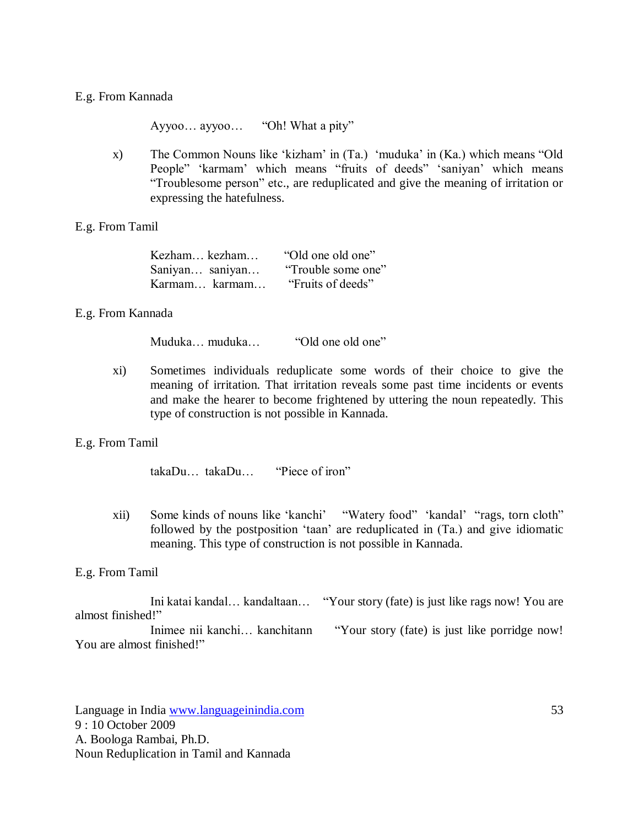#### E.g. From Kannada

Ayyoo… ayyoo… "Oh! What a pity"

x) The Common Nouns like "kizham" in (Ta.) "muduka" in (Ka.) which means "Old People" 'karmam' which means "fruits of deeds" 'saniyan' which means "Troublesome person" etc., are reduplicated and give the meaning of irritation or expressing the hatefulness.

#### E.g. From Tamil

| Kezham kezham   | "Old one old one"  |
|-----------------|--------------------|
| Saniyan saniyan | "Trouble some one" |
| Karmam karmam   | "Fruits of deeds"  |

## E.g. From Kannada

Muduka… muduka… "Old one old one"

xi) Sometimes individuals reduplicate some words of their choice to give the meaning of irritation. That irritation reveals some past time incidents or events and make the hearer to become frightened by uttering the noun repeatedly. This type of construction is not possible in Kannada.

#### E.g. From Tamil

takaDu… takaDu… "Piece of iron"

xii) Some kinds of nouns like "kanchi" "Watery food" "kandal" "rags, torn cloth" followed by the postposition "taan" are reduplicated in (Ta.) and give idiomatic meaning. This type of construction is not possible in Kannada.

#### E.g. From Tamil

Ini katai kandal… kandaltaan… "Your story (fate) is just like rags now! You are almost finished!" Inimee nii kanchi... kanchitann "Your story (fate) is just like porridge now!

You are almost finished!"

Language in India www.languageinindia.com 53 9 : 10 October 2009 A. Boologa Rambai, Ph.D. Noun Reduplication in Tamil and Kannada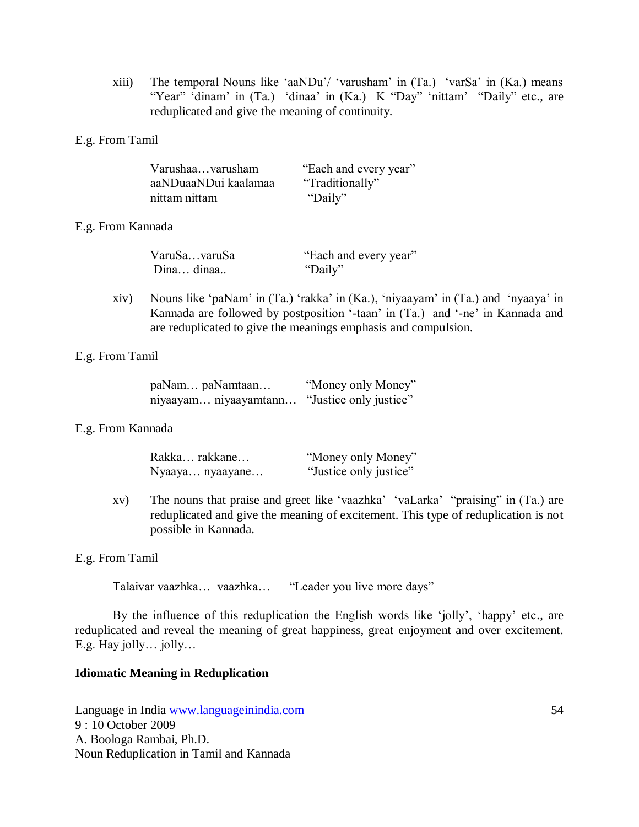xiii) The temporal Nouns like "aaNDu"/ "varusham" in (Ta.) "varSa" in (Ka.) means "Year" 'dinam' in (Ta.) 'dinaa' in (Ka.) K "Day" 'nittam' "Daily" etc., are reduplicated and give the meaning of continuity.

#### E.g. From Tamil

| Varushaavarusham     | "Each and every year" |
|----------------------|-----------------------|
| aaNDuaaNDui kaalamaa | "Traditionally"       |
| nittam nittam        | "Daily"               |

## E.g. From Kannada

| VaruSavaruSa | "Each and every year" |
|--------------|-----------------------|
| Dina dinaa   | "Daily"               |

xiv) Nouns like "paNam" in (Ta.) "rakka" in (Ka.), "niyaayam" in (Ta.) and "nyaaya" in Kannada are followed by postposition "-taan" in (Ta.) and "-ne" in Kannada and are reduplicated to give the meanings emphasis and compulsion.

## E.g. From Tamil

| paNam paNamtaan       | "Money only Money"     |
|-----------------------|------------------------|
| niyaayam niyaayamtann | "Justice only justice" |

#### E.g. From Kannada

| Rakka rakkane   | "Money only Money"     |
|-----------------|------------------------|
| Nyaaya nyaayane | "Justice only justice" |

xv) The nouns that praise and greet like "vaazhka" "vaLarka" "praising" in (Ta.) are reduplicated and give the meaning of excitement. This type of reduplication is not possible in Kannada.

#### E.g. From Tamil

Talaivar vaazhka… vaazhka… "Leader you live more days"

By the influence of this reduplication the English words like 'jolly', 'happy' etc., are reduplicated and reveal the meaning of great happiness, great enjoyment and over excitement. E.g. Hay jolly… jolly…

#### **Idiomatic Meaning in Reduplication**

Language in India www.languageinindia.com 54 9 : 10 October 2009 A. Boologa Rambai, Ph.D. Noun Reduplication in Tamil and Kannada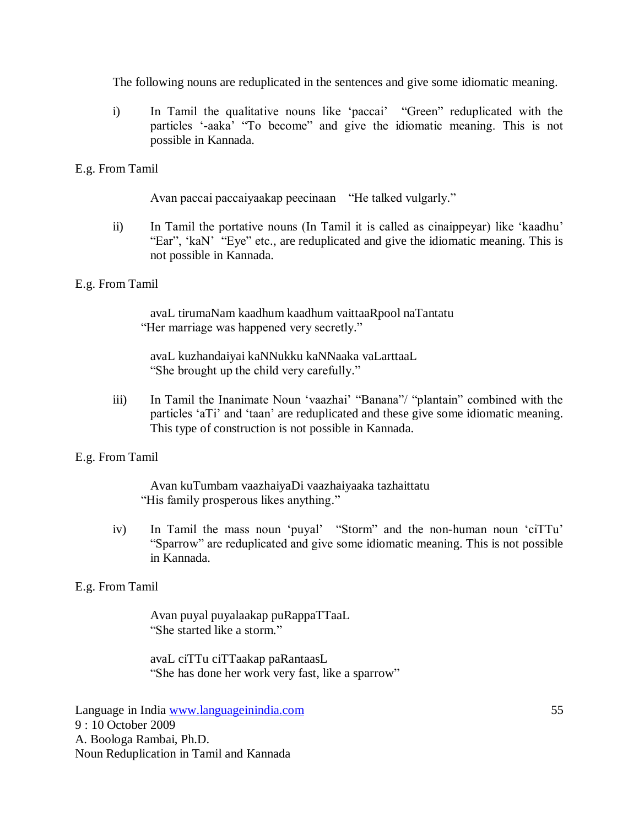The following nouns are reduplicated in the sentences and give some idiomatic meaning.

i) In Tamil the qualitative nouns like "paccai" "Green" reduplicated with the particles "-aaka" "To become" and give the idiomatic meaning. This is not possible in Kannada.

# E.g. From Tamil

Avan paccai paccaiyaakap peecinaan "He talked vulgarly."

ii) In Tamil the portative nouns (In Tamil it is called as cinaippeyar) like "kaadhu" "Ear", "kaN" "Eye" etc., are reduplicated and give the idiomatic meaning. This is not possible in Kannada.

# E.g. From Tamil

avaL tirumaNam kaadhum kaadhum vaittaaRpool naTantatu "Her marriage was happened very secretly."

avaL kuzhandaiyai kaNNukku kaNNaaka vaLarttaaL "She brought up the child very carefully."

iii) In Tamil the Inanimate Noun "vaazhai" "Banana"/ "plantain" combined with the particles "aTi" and "taan" are reduplicated and these give some idiomatic meaning. This type of construction is not possible in Kannada.

# E.g. From Tamil

Avan kuTumbam vaazhaiyaDi vaazhaiyaaka tazhaittatu "His family prosperous likes anything."

iv) In Tamil the mass noun "puyal" "Storm" and the non-human noun "ciTTu" "Sparrow" are reduplicated and give some idiomatic meaning. This is not possible in Kannada.

# E.g. From Tamil

Avan puyal puyalaakap puRappaTTaaL "She started like a storm."

avaL ciTTu ciTTaakap paRantaasL "She has done her work very fast, like a sparrow"

Language in India www.languageinindia.com 55 9 : 10 October 2009 A. Boologa Rambai, Ph.D. Noun Reduplication in Tamil and Kannada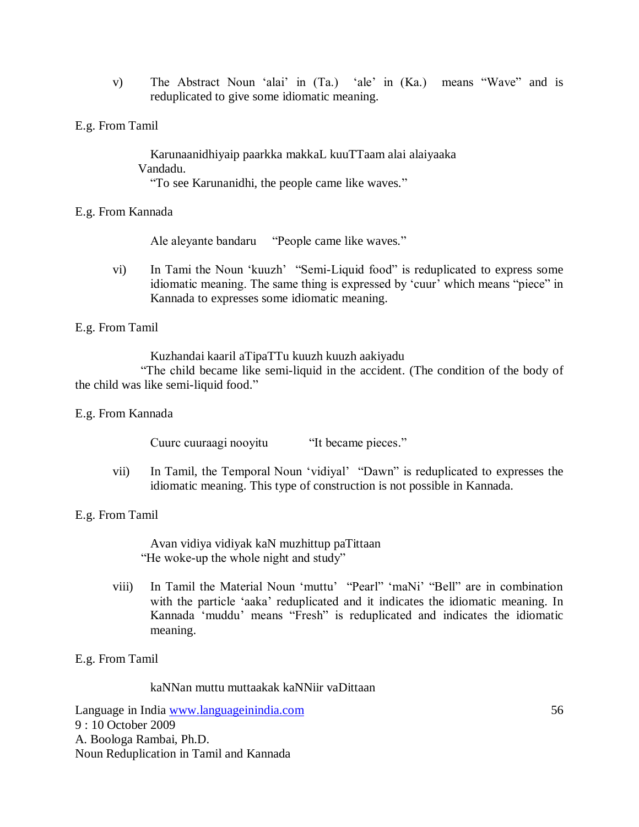- v) The Abstract Noun "alai" in (Ta.) "ale" in (Ka.) means "Wave" and is reduplicated to give some idiomatic meaning.
- E.g. From Tamil

Karunaanidhiyaip paarkka makkaL kuuTTaam alai alaiyaaka Vandadu. "To see Karunanidhi, the people came like waves."

# E.g. From Kannada

Ale aleyante bandaru "People came like waves."

vi) In Tami the Noun "kuuzh" "Semi-Liquid food" is reduplicated to express some idiomatic meaning. The same thing is expressed by "cuur" which means "piece" in Kannada to expresses some idiomatic meaning.

# E.g. From Tamil

Kuzhandai kaaril aTipaTTu kuuzh kuuzh aakiyadu

 "The child became like semi-liquid in the accident. (The condition of the body of the child was like semi-liquid food."

## E.g. From Kannada

Cuurc cuuraagi nooyitu "It became pieces."

vii) In Tamil, the Temporal Noun "vidiyal" "Dawn" is reduplicated to expresses the idiomatic meaning. This type of construction is not possible in Kannada.

## E.g. From Tamil

Avan vidiya vidiyak kaN muzhittup paTittaan "He woke-up the whole night and study"

viii) In Tamil the Material Noun "muttu" "Pearl" "maNi" "Bell" are in combination with the particle 'aaka' reduplicated and it indicates the idiomatic meaning. In Kannada "muddu" means "Fresh" is reduplicated and indicates the idiomatic meaning.

# E.g. From Tamil

## kaNNan muttu muttaakak kaNNiir vaDittaan

Language in India www.languageinindia.com 56 9 : 10 October 2009 A. Boologa Rambai, Ph.D. Noun Reduplication in Tamil and Kannada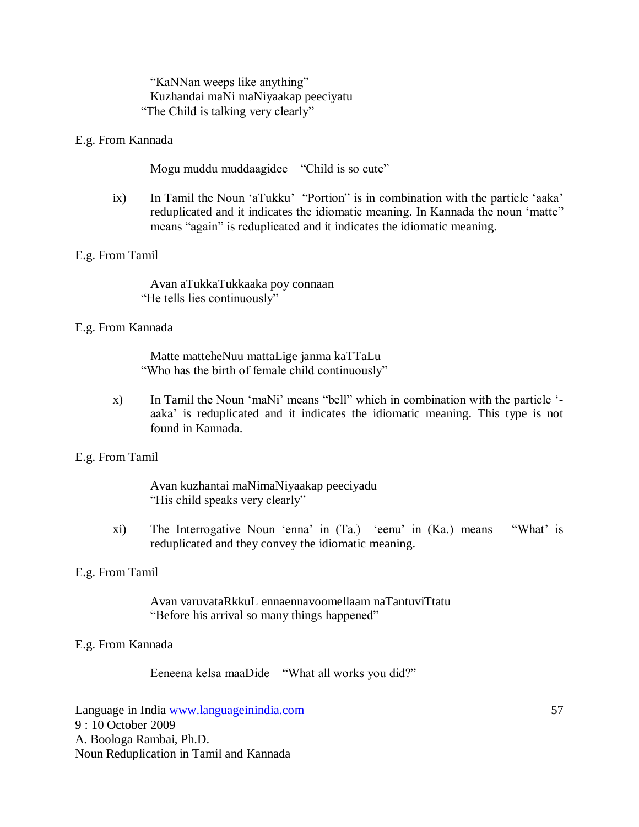"KaNNan weeps like anything" Kuzhandai maNi maNiyaakap peeciyatu "The Child is talking very clearly"

## E.g. From Kannada

Mogu muddu muddaagidee "Child is so cute"

ix) In Tamil the Noun 'aTukku' "Portion" is in combination with the particle 'aaka' reduplicated and it indicates the idiomatic meaning. In Kannada the noun "matte" means "again" is reduplicated and it indicates the idiomatic meaning.

## E.g. From Tamil

Avan aTukkaTukkaaka poy connaan "He tells lies continuously"

## E.g. From Kannada

Matte matteheNuu mattaLige janma kaTTaLu "Who has the birth of female child continuously"

x) In Tamil the Noun "maNi" means "bell" which in combination with the particle " aaka" is reduplicated and it indicates the idiomatic meaning. This type is not found in Kannada.

## E.g. From Tamil

Avan kuzhantai maNimaNiyaakap peeciyadu "His child speaks very clearly"

xi) The Interrogative Noun "enna" in (Ta.) "eenu" in (Ka.) means "What" is reduplicated and they convey the idiomatic meaning.

## E.g. From Tamil

Avan varuvataRkkuL ennaennavoomellaam naTantuviTtatu "Before his arrival so many things happened"

## E.g. From Kannada

Eeneena kelsa maaDide "What all works you did?"

Language in India www.languageinindia.com 57 9 : 10 October 2009 A. Boologa Rambai, Ph.D. Noun Reduplication in Tamil and Kannada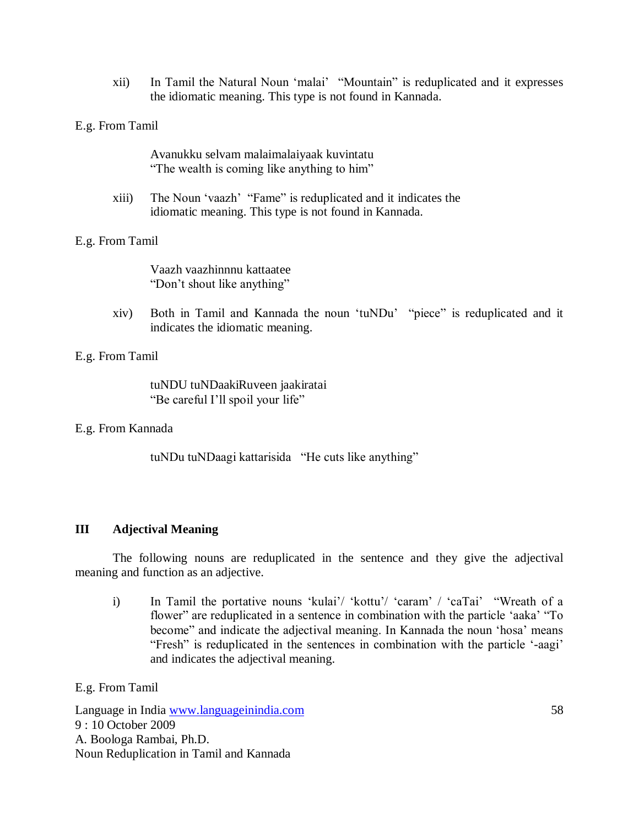xii) In Tamil the Natural Noun "malai" "Mountain" is reduplicated and it expresses the idiomatic meaning. This type is not found in Kannada.

E.g. From Tamil

Avanukku selvam malaimalaiyaak kuvintatu "The wealth is coming like anything to him"

xiii) The Noun "vaazh" "Fame" is reduplicated and it indicates the idiomatic meaning. This type is not found in Kannada.

E.g. From Tamil

Vaazh vaazhinnnu kattaatee "Don"t shout like anything"

xiv) Both in Tamil and Kannada the noun "tuNDu" "piece" is reduplicated and it indicates the idiomatic meaning.

E.g. From Tamil

tuNDU tuNDaakiRuveen jaakiratai "Be careful I'll spoil your life"

E.g. From Kannada

tuNDu tuNDaagi kattarisida "He cuts like anything"

# **III Adjectival Meaning**

The following nouns are reduplicated in the sentence and they give the adjectival meaning and function as an adjective.

i) In Tamil the portative nouns 'kulai'/ 'kottu'/ 'caram' / 'caTai' "Wreath of a flower" are reduplicated in a sentence in combination with the particle 'aaka' "To become" and indicate the adjectival meaning. In Kannada the noun 'hosa' means "Fresh" is reduplicated in the sentences in combination with the particle "-aagi" and indicates the adjectival meaning.

E.g. From Tamil

Language in India www.languageinindia.com 58 9 : 10 October 2009 A. Boologa Rambai, Ph.D. Noun Reduplication in Tamil and Kannada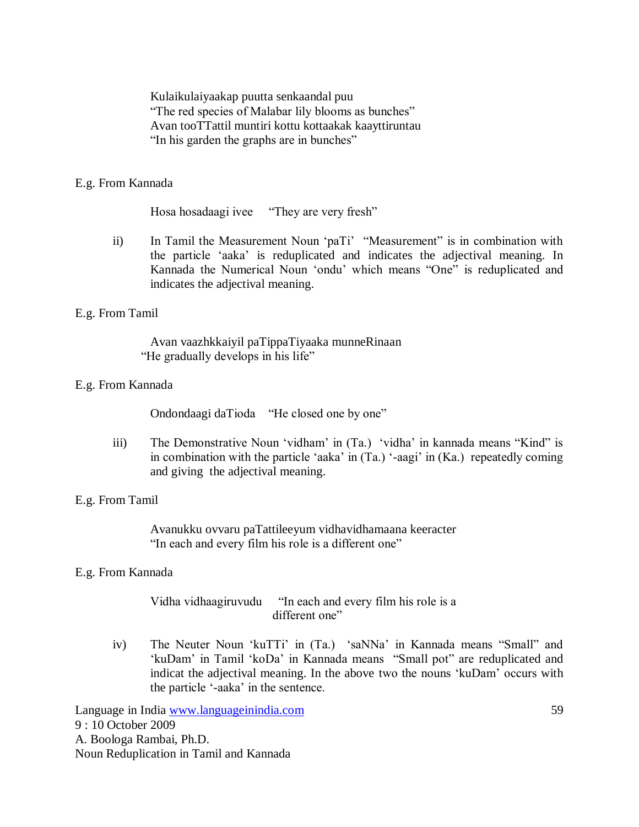Kulaikulaiyaakap puutta senkaandal puu "The red species of Malabar lily blooms as bunches" Avan tooTTattil muntiri kottu kottaakak kaayttiruntau "In his garden the graphs are in bunches"

## E.g. From Kannada

Hosa hosadaagi ivee "They are very fresh"

ii) In Tamil the Measurement Noun "paTi" "Measurement" is in combination with the particle "aaka" is reduplicated and indicates the adjectival meaning. In Kannada the Numerical Noun "ondu" which means "One" is reduplicated and indicates the adjectival meaning.

## E.g. From Tamil

Avan vaazhkkaiyil paTippaTiyaaka munneRinaan "He gradually develops in his life"

## E.g. From Kannada

Ondondaagi daTioda "He closed one by one"

iii) The Demonstrative Noun "vidham" in (Ta.) "vidha" in kannada means "Kind" is in combination with the particle "aaka" in (Ta.) "-aagi" in (Ka.) repeatedly coming and giving the adjectival meaning.

## E.g. From Tamil

Avanukku ovvaru paTattileeyum vidhavidhamaana keeracter "In each and every film his role is a different one"

#### E.g. From Kannada

Vidha vidhaagiruvudu "In each and every film his role is a different one"

iv) The Neuter Noun "kuTTi" in (Ta.) "saNNa" in Kannada means "Small" and "kuDam" in Tamil "koDa" in Kannada means "Small pot" are reduplicated and indicat the adjectival meaning. In the above two the nouns "kuDam" occurs with the particle "-aaka" in the sentence.

Language in India www.languageinindia.com 59 9 : 10 October 2009 A. Boologa Rambai, Ph.D. Noun Reduplication in Tamil and Kannada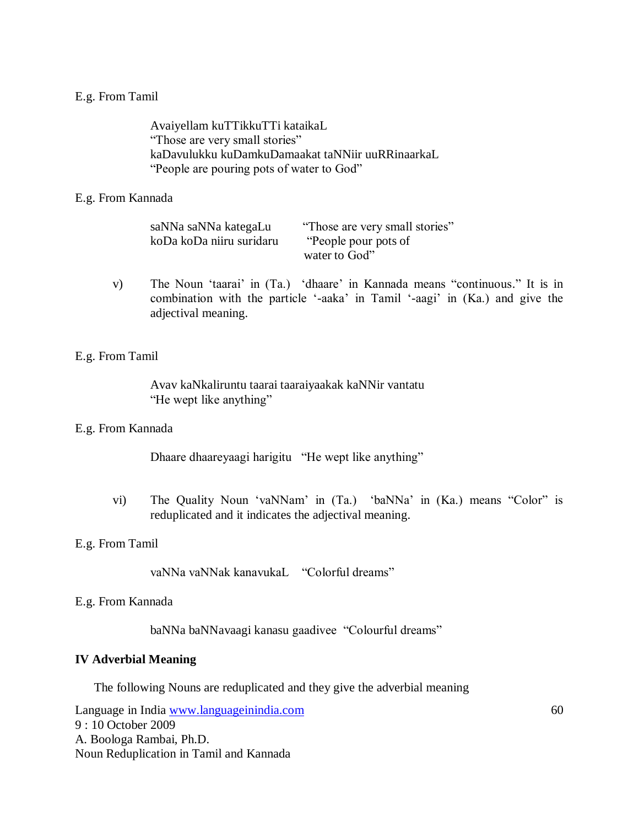## E.g. From Tamil

Avaiyellam kuTTikkuTTi kataikaL "Those are very small stories" kaDavulukku kuDamkuDamaakat taNNiir uuRRinaarkaL "People are pouring pots of water to God"

## E.g. From Kannada

| saNNa saNNa kategaLu     | "Those are very small stories" |
|--------------------------|--------------------------------|
| koDa koDa niiru suridaru | "People pour pots of           |
|                          | water to God"                  |

v) The Noun "taarai" in (Ta.) "dhaare" in Kannada means "continuous." It is in combination with the particle "-aaka" in Tamil "-aagi" in (Ka.) and give the adjectival meaning.

## E.g. From Tamil

Avav kaNkaliruntu taarai taaraiyaakak kaNNir vantatu "He wept like anything"

#### E.g. From Kannada

Dhaare dhaareyaagi harigitu "He wept like anything"

vi) The Quality Noun "vaNNam" in (Ta.) "baNNa" in (Ka.) means "Color" is reduplicated and it indicates the adjectival meaning.

#### E.g. From Tamil

vaNNa vaNNak kanavukaL "Colorful dreams"

#### E.g. From Kannada

baNNa baNNavaagi kanasu gaadivee "Colourful dreams"

#### **IV Adverbial Meaning**

The following Nouns are reduplicated and they give the adverbial meaning

Language in India www.languageinindia.com 60 9 : 10 October 2009 A. Boologa Rambai, Ph.D. Noun Reduplication in Tamil and Kannada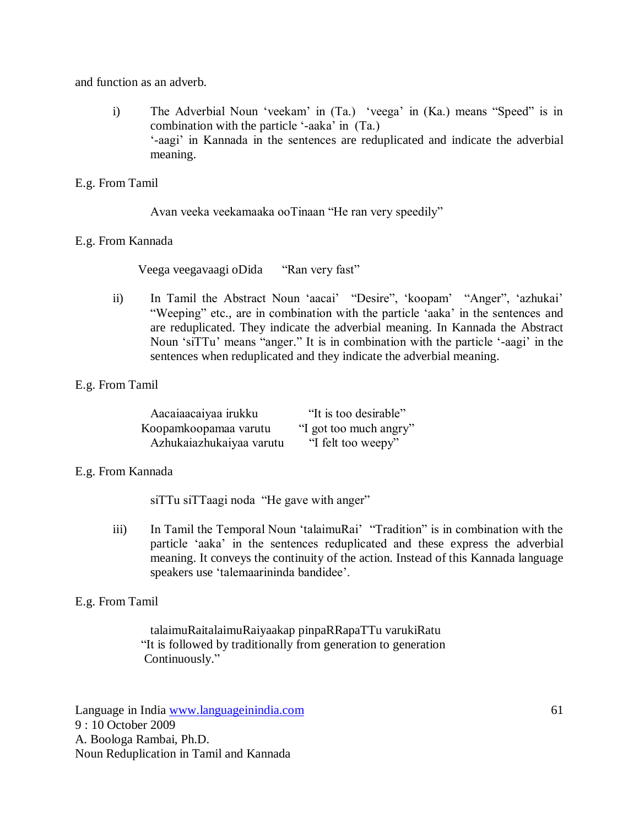and function as an adverb.

i) The Adverbial Noun 'veekam' in (Ta.) 'veega' in (Ka.) means "Speed" is in combination with the particle "-aaka" in (Ta.) "-aagi" in Kannada in the sentences are reduplicated and indicate the adverbial meaning.

# E.g. From Tamil

Avan veeka veekamaaka ooTinaan "He ran very speedily"

# E.g. From Kannada

Veega veegavaagi oDida "Ran very fast"

ii) In Tamil the Abstract Noun "aacai" "Desire", "koopam" "Anger", "azhukai" "Weeping" etc., are in combination with the particle "aaka" in the sentences and are reduplicated. They indicate the adverbial meaning. In Kannada the Abstract Noun "siTTu" means "anger." It is in combination with the particle "-aagi" in the sentences when reduplicated and they indicate the adverbial meaning.

# E.g. From Tamil

| Aacaiaacaiyaa irukku     | "It is too desirable"  |
|--------------------------|------------------------|
| Koopamkoopamaa varutu    | "I got too much angry" |
| Azhukaiazhukaiyaa varutu | "I felt too weepy"     |

# E.g. From Kannada

siTTu siTTaagi noda "He gave with anger"

iii) In Tamil the Temporal Noun 'talaimuRai' "Tradition" is in combination with the particle "aaka" in the sentences reduplicated and these express the adverbial meaning. It conveys the continuity of the action. Instead of this Kannada language speakers use "talemaarininda bandidee".

## E.g. From Tamil

talaimuRaitalaimuRaiyaakap pinpaRRapaTTu varukiRatu "It is followed by traditionally from generation to generation Continuously."

Language in India www.languageinindia.com 61 9 : 10 October 2009 A. Boologa Rambai, Ph.D. Noun Reduplication in Tamil and Kannada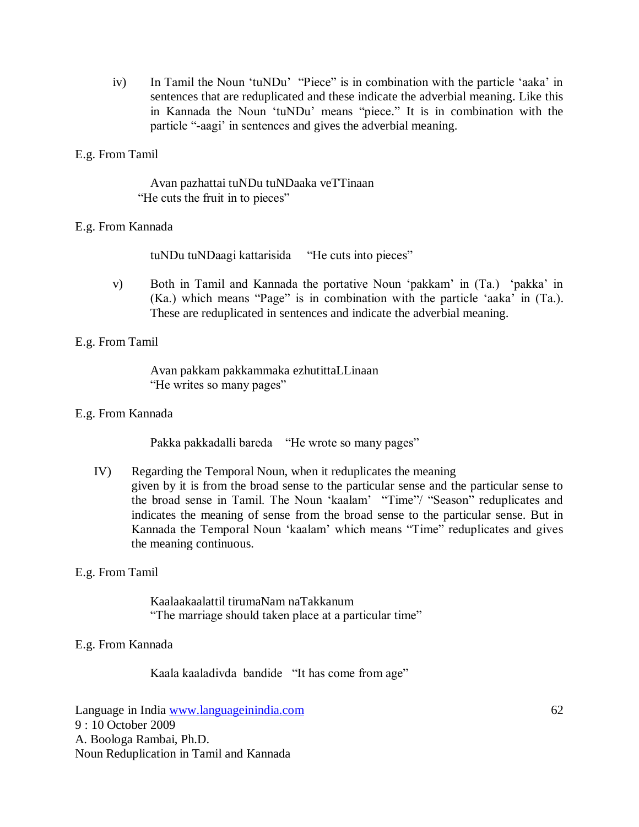iv) In Tamil the Noun "tuNDu" "Piece" is in combination with the particle "aaka" in sentences that are reduplicated and these indicate the adverbial meaning. Like this in Kannada the Noun "tuNDu" means "piece." It is in combination with the particle "-aagi" in sentences and gives the adverbial meaning.

# E.g. From Tamil

Avan pazhattai tuNDu tuNDaaka veTTinaan "He cuts the fruit in to pieces"

# E.g. From Kannada

tuNDu tuNDaagi kattarisida "He cuts into pieces"

v) Both in Tamil and Kannada the portative Noun "pakkam" in (Ta.) "pakka" in (Ka.) which means "Page" is in combination with the particle "aaka" in (Ta.). These are reduplicated in sentences and indicate the adverbial meaning.

## E.g. From Tamil

Avan pakkam pakkammaka ezhutittaLLinaan "He writes so many pages"

## E.g. From Kannada

Pakka pakkadalli bareda "He wrote so many pages"

IV) Regarding the Temporal Noun, when it reduplicates the meaning given by it is from the broad sense to the particular sense and the particular sense to the broad sense in Tamil. The Noun "kaalam" "Time"/ "Season" reduplicates and indicates the meaning of sense from the broad sense to the particular sense. But in Kannada the Temporal Noun "kaalam" which means "Time" reduplicates and gives the meaning continuous.

## E.g. From Tamil

Kaalaakaalattil tirumaNam naTakkanum "The marriage should taken place at a particular time"

## E.g. From Kannada

Kaala kaaladivda bandide "It has come from age"

Language in India www.languageinindia.com 62 9 : 10 October 2009 A. Boologa Rambai, Ph.D. Noun Reduplication in Tamil and Kannada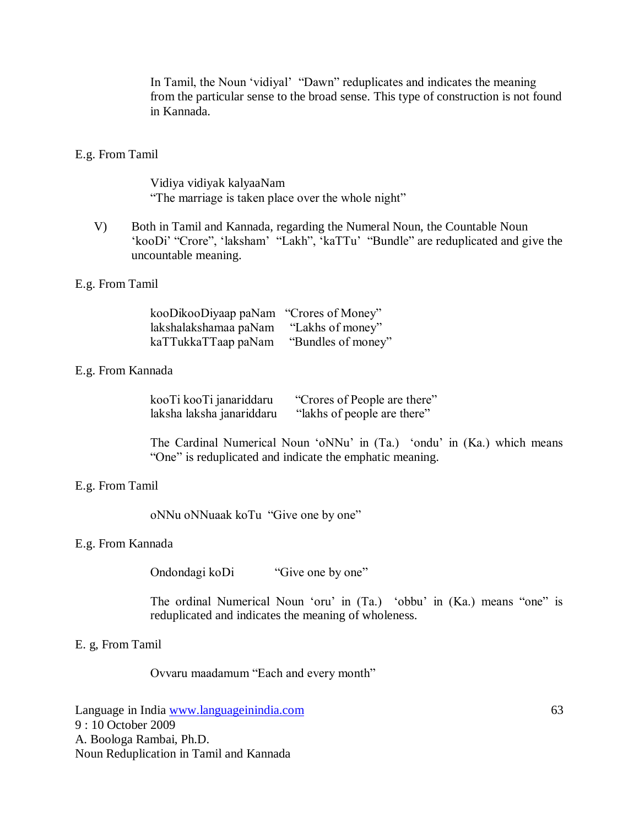In Tamil, the Noun "vidiyal" "Dawn" reduplicates and indicates the meaning from the particular sense to the broad sense. This type of construction is not found in Kannada.

## E.g. From Tamil

Vidiya vidiyak kalyaaNam "The marriage is taken place over the whole night"

V) Both in Tamil and Kannada, regarding the Numeral Noun, the Countable Noun 'kooDi' "Crore", 'laksham' "Lakh", 'kaTTu' "Bundle" are reduplicated and give the uncountable meaning.

## E.g. From Tamil

| kooDikooDiyaap paNam  | "Crores of Money"  |
|-----------------------|--------------------|
| lakshalakshamaa paNam | "Lakhs of money"   |
| kaTTukkaTTaap paNam   | "Bundles of money" |

## E.g. From Kannada

| kooTi kooTi janariddaru   | "Crores of People are there" |
|---------------------------|------------------------------|
| laksha laksha janariddaru | "lakhs of people are there"  |

The Cardinal Numerical Noun "oNNu" in (Ta.) "ondu" in (Ka.) which means "One" is reduplicated and indicate the emphatic meaning.

#### E.g. From Tamil

oNNu oNNuaak koTu "Give one by one"

#### E.g. From Kannada

Ondondagi koDi "Give one by one"

The ordinal Numerical Noun "oru" in (Ta.) "obbu" in (Ka.) means "one" is reduplicated and indicates the meaning of wholeness.

#### E. g, From Tamil

Ovvaru maadamum "Each and every month"

Language in India www.languageinindia.com 63 9 : 10 October 2009 A. Boologa Rambai, Ph.D. Noun Reduplication in Tamil and Kannada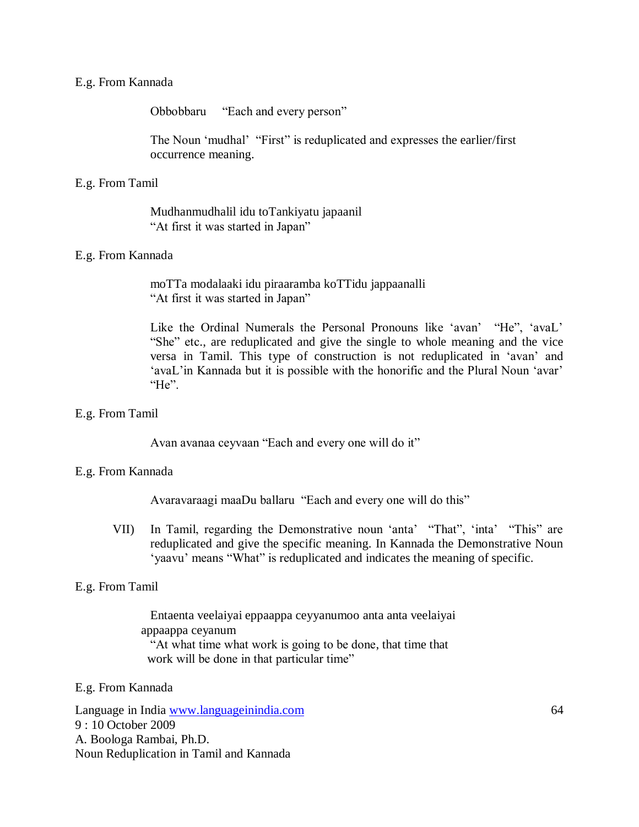## E.g. From Kannada

Obbobbaru "Each and every person"

The Noun "mudhal" "First" is reduplicated and expresses the earlier/first occurrence meaning.

#### E.g. From Tamil

Mudhanmudhalil idu toTankiyatu japaanil "At first it was started in Japan"

## E.g. From Kannada

moTTa modalaaki idu piraaramba koTTidu jappaanalli "At first it was started in Japan"

Like the Ordinal Numerals the Personal Pronouns like 'avan' "He", 'avaL' "She" etc., are reduplicated and give the single to whole meaning and the vice versa in Tamil. This type of construction is not reduplicated in "avan" and 'avaL'in Kannada but it is possible with the honorific and the Plural Noun 'avar' "He".

#### E.g. From Tamil

Avan avanaa ceyvaan "Each and every one will do it"

## E.g. From Kannada

Avaravaraagi maaDu ballaru "Each and every one will do this"

VII) In Tamil, regarding the Demonstrative noun "anta" "That", "inta" "This" are reduplicated and give the specific meaning. In Kannada the Demonstrative Noun 'yaavu' means "What" is reduplicated and indicates the meaning of specific.

## E.g. From Tamil

Entaenta veelaiyai eppaappa ceyyanumoo anta anta veelaiyai appaappa ceyanum "At what time what work is going to be done, that time that work will be done in that particular time"

#### E.g. From Kannada

Language in India www.languageinindia.com 64 9 : 10 October 2009 A. Boologa Rambai, Ph.D. Noun Reduplication in Tamil and Kannada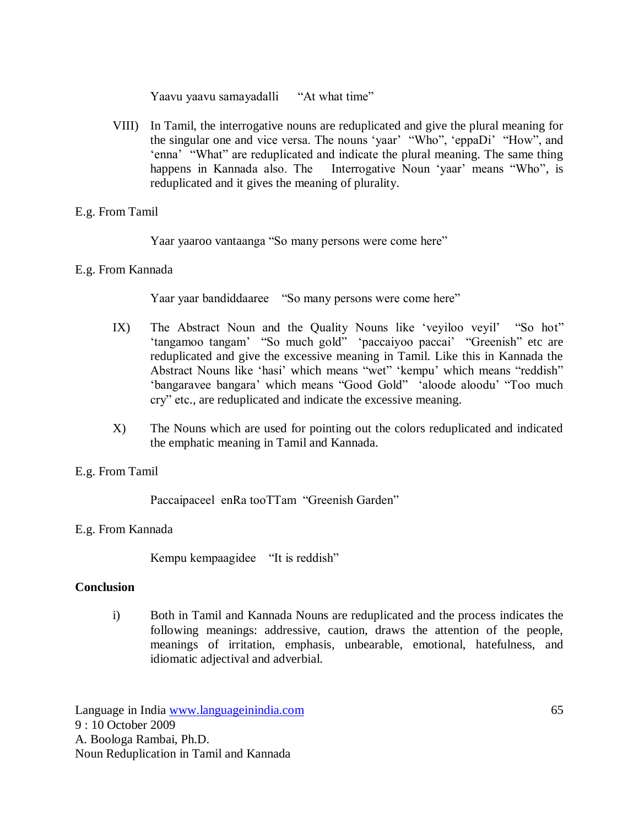Yaavu yaavu samayadalli "At what time"

VIII) In Tamil, the interrogative nouns are reduplicated and give the plural meaning for the singular one and vice versa. The nouns 'yaar' "Who", 'eppaDi' "How", and 'enna' "What" are reduplicated and indicate the plural meaning. The same thing happens in Kannada also. The Interrogative Noun 'yaar' means "Who", is reduplicated and it gives the meaning of plurality.

# E.g. From Tamil

Yaar yaaroo vantaanga "So many persons were come here"

# E.g. From Kannada

Yaar yaar bandiddaaree "So many persons were come here"

- IX) The Abstract Noun and the Quality Nouns like "veyiloo veyil" "So hot" 'tangamoo tangam' "So much gold" 'paccaiyoo paccai' "Greenish" etc are reduplicated and give the excessive meaning in Tamil. Like this in Kannada the Abstract Nouns like "hasi" which means "wet" "kempu" which means "reddish" 'bangaravee bangara' which means "Good Gold" 'aloode aloodu' "Too much cry" etc., are reduplicated and indicate the excessive meaning.
- X) The Nouns which are used for pointing out the colors reduplicated and indicated the emphatic meaning in Tamil and Kannada.

# E.g. From Tamil

Paccaipaceel enRa tooTTam "Greenish Garden"

# E.g. From Kannada

Kempu kempaagidee "It is reddish"

## **Conclusion**

i) Both in Tamil and Kannada Nouns are reduplicated and the process indicates the following meanings: addressive, caution, draws the attention of the people, meanings of irritation, emphasis, unbearable, emotional, hatefulness, and idiomatic adjectival and adverbial.

Language in India www.languageinindia.com 65 9 : 10 October 2009 A. Boologa Rambai, Ph.D. Noun Reduplication in Tamil and Kannada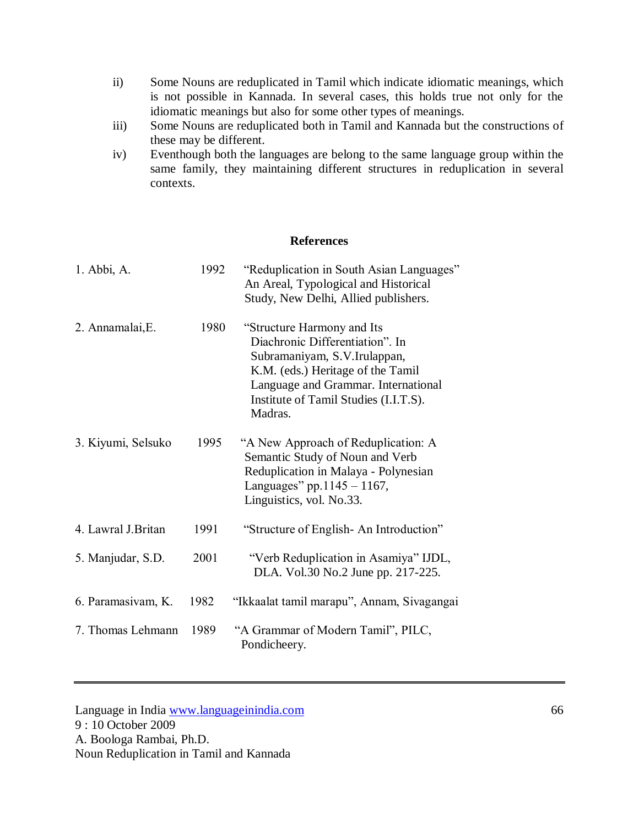- ii) Some Nouns are reduplicated in Tamil which indicate idiomatic meanings, which is not possible in Kannada. In several cases, this holds true not only for the idiomatic meanings but also for some other types of meanings.
- iii) Some Nouns are reduplicated both in Tamil and Kannada but the constructions of these may be different.
- iv) Eventhough both the languages are belong to the same language group within the same family, they maintaining different structures in reduplication in several contexts.

## **References**

| 1. Abbi, A.         | 1992 | "Reduplication in South Asian Languages"<br>An Areal, Typological and Historical<br>Study, New Delhi, Allied publishers.                                                                                                      |
|---------------------|------|-------------------------------------------------------------------------------------------------------------------------------------------------------------------------------------------------------------------------------|
| 2. Annamalai, E.    | 1980 | "Structure Harmony and Its<br>Diachronic Differentiation". In<br>Subramaniyam, S.V.Irulappan,<br>K.M. (eds.) Heritage of the Tamil<br>Language and Grammar. International<br>Institute of Tamil Studies (I.I.T.S).<br>Madras. |
| 3. Kiyumi, Selsuko  | 1995 | "A New Approach of Reduplication: A<br>Semantic Study of Noun and Verb<br>Reduplication in Malaya - Polynesian<br>Languages" pp. $1145 - 1167$ ,<br>Linguistics, vol. No.33.                                                  |
| 4. Lawral J. Britan | 1991 | "Structure of English-An Introduction"                                                                                                                                                                                        |
| 5. Manjudar, S.D.   | 2001 | "Verb Reduplication in Asamiya" IJDL,<br>DLA. Vol.30 No.2 June pp. 217-225.                                                                                                                                                   |
| 6. Paramasivam, K.  | 1982 | "Ikkaalat tamil marapu", Annam, Sivagangai                                                                                                                                                                                    |
| 7. Thomas Lehmann   | 1989 | "A Grammar of Modern Tamil", PILC,<br>Pondicheery.                                                                                                                                                                            |

Language in India www.languageinindia.com 66 9 : 10 October 2009 A. Boologa Rambai, Ph.D. Noun Reduplication in Tamil and Kannada